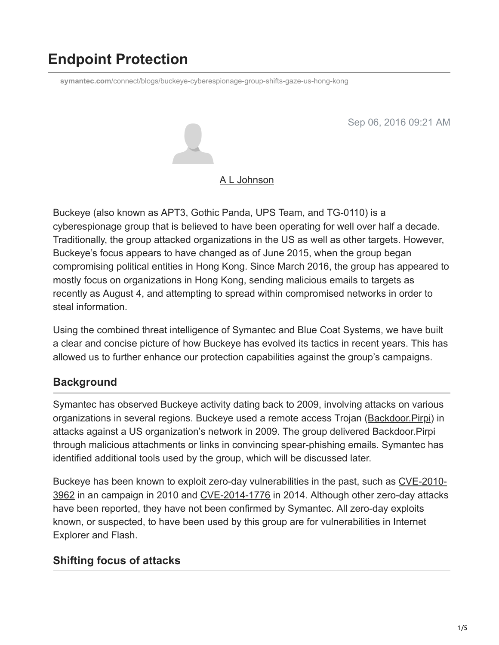# **Endpoint Protection**

**symantec.com**[/connect/blogs/buckeye-cyberespionage-group-shifts-gaze-us-hong-kong](http://www.symantec.com/connect/blogs/buckeye-cyberespionage-group-shifts-gaze-us-hong-kong)

Sep 06, 2016 09:21 AM



#### [A L Johnson](https://community.broadcom.com/symantecenterprise/network/members/profile?UserKey=cbd453fd-3ce1-4c47-af77-d746256f9bc4)

Buckeye (also known as APT3, Gothic Panda, UPS Team, and TG-0110) is a cyberespionage group that is believed to have been operating for well over half a decade. Traditionally, the group attacked organizations in the US as well as other targets. However, Buckeye's focus appears to have changed as of June 2015, when the group began compromising political entities in Hong Kong. Since March 2016, the group has appeared to mostly focus on organizations in Hong Kong, sending malicious emails to targets as recently as August 4, and attempting to spread within compromised networks in order to steal information.

Using the combined threat intelligence of Symantec and Blue Coat Systems, we have built a clear and concise picture of how Buckeye has evolved its tactics in recent years. This has allowed us to further enhance our protection capabilities against the group's campaigns.

## **Background**

Symantec has observed Buckeye activity dating back to 2009, involving attacks on various organizations in several regions. Buckeye used a remote access Trojan ([Backdoor.Pirpi\)](https://www.symantec.com/security_response/writeup.jsp?docid=2010-110314-3703-99) in attacks against a US organization's network in 2009. The group delivered Backdoor.Pirpi through malicious attachments or links in convincing spear-phishing emails. Symantec has identified additional tools used by the group, which will be discussed later.

[Buckeye has been known to exploit zero-day vulnerabilities in the past, such as CVE-2010-](https://cve.mitre.org/cgi-bin/cvename.cgi?name=CVE-2010-3962) 3962 in an campaign in 2010 and [CVE-2014-1776](http://www.cve.mitre.org/cgi-bin/cvename.cgi?name=cve-2014-1776) in 2014. Although other zero-day attacks have been reported, they have not been confirmed by Symantec. All zero-day exploits known, or suspected, to have been used by this group are for vulnerabilities in Internet Explorer and Flash.

# **Shifting focus of attacks**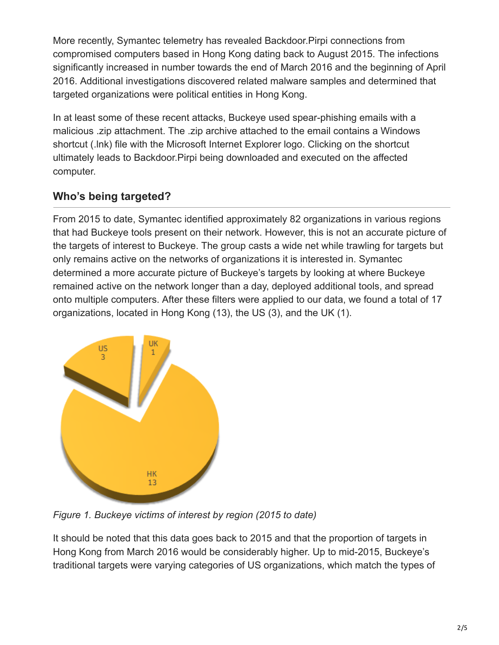More recently, Symantec telemetry has revealed Backdoor.Pirpi connections from compromised computers based in Hong Kong dating back to August 2015. The infections significantly increased in number towards the end of March 2016 and the beginning of April 2016. Additional investigations discovered related malware samples and determined that targeted organizations were political entities in Hong Kong.

In at least some of these recent attacks, Buckeye used spear-phishing emails with a malicious .zip attachment. The .zip archive attached to the email contains a Windows shortcut (.lnk) file with the Microsoft Internet Explorer logo. Clicking on the shortcut ultimately leads to Backdoor.Pirpi being downloaded and executed on the affected computer.

# **Who's being targeted?**

From 2015 to date, Symantec identified approximately 82 organizations in various regions that had Buckeye tools present on their network. However, this is not an accurate picture of the targets of interest to Buckeye. The group casts a wide net while trawling for targets but only remains active on the networks of organizations it is interested in. Symantec determined a more accurate picture of Buckeye's targets by looking at where Buckeye remained active on the network longer than a day, deployed additional tools, and spread onto multiple computers. After these filters were applied to our data, we found a total of 17 organizations, located in Hong Kong (13), the US (3), and the UK (1).



*Figure 1. Buckeye victims of interest by region (2015 to date)*

It should be noted that this data goes back to 2015 and that the proportion of targets in Hong Kong from March 2016 would be considerably higher. Up to mid-2015, Buckeye's traditional targets were varying categories of US organizations, which match the types of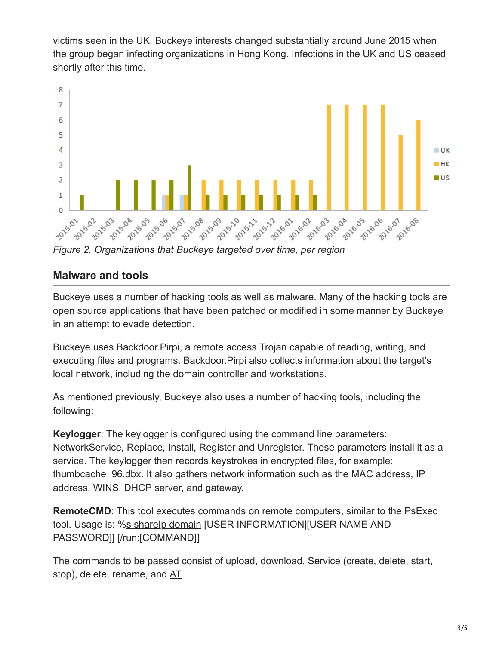victims seen in the UK. Buckeye interests changed substantially around June 2015 when the group began infecting organizations in Hong Kong. Infections in the UK and US ceased shortly after this time.



#### **Malware and tools**

Buckeye uses a number of hacking tools as well as malware. Many of the hacking tools are open source applications that have been patched or modified in some manner by Buckeye in an attempt to evade detection.

Buckeye uses Backdoor.Pirpi, a remote access Trojan capable of reading, writing, and executing files and programs. Backdoor.Pirpi also collects information about the target's local network, including the domain controller and workstations.

As mentioned previously, Buckeye also uses a number of hacking tools, including the following:

**Keylogger**: The keylogger is configured using the command line parameters: NetworkService, Replace, Install, Register and Unregister. These parameters install it as a service. The keylogger then records keystrokes in encrypted files, for example: thumbcache 96.dbx. It also gathers network information such as the MAC address, IP address, WINS, DHCP server, and gateway.

**RemoteCMD:** This tool executes commands on remote computers, similar to the PsExec tool. Usage is: %s shareIp domain [USER INFORMATION][USER NAME AND PASSWORD]] [/run:[COMMAND]]

The commands to be passed consist of upload, download, Service (create, delete, start, stop), delete, rename, and AT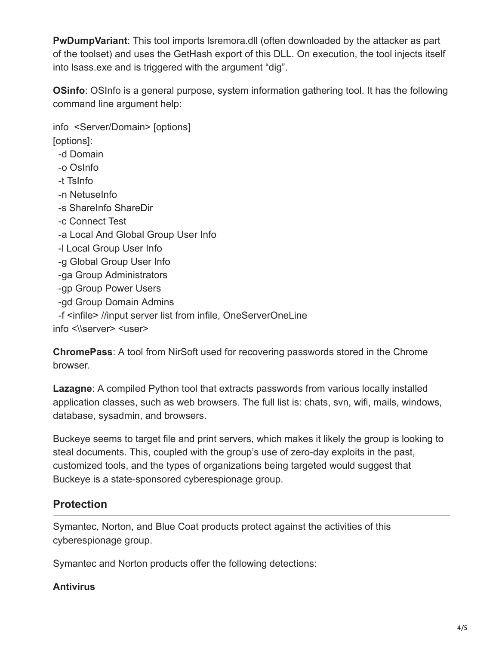**PwDumpVariant**: This tool imports lsremora.dll (often downloaded by the attacker as part of the toolset) and uses the GetHash export of this DLL. On execution, the tool injects itself into lsass.exe and is triggered with the argument "dig".

**OSinfo**: OSInfo is a general purpose, system information gathering tool. It has the following command line argument help:

info <Server/Domain> [options] [options]: -d Domain -o OsInfo -t TsInfo -n NetuseInfo -s ShareInfo ShareDir -c Connect Test

- -a Local And Global Group User Info
- -l Local Group User Info
- -g Global Group User Info
- -ga Group Administrators
- -gp Group Power Users
- -gd Group Domain Admins
- -f <infile> //input server list from infile, OneServerOneLine

info <\\server> <user>

**ChromePass**: A tool from NirSoft used for recovering passwords stored in the Chrome browser.

**Lazagne**: A compiled Python tool that extracts passwords from various locally installed application classes, such as web browsers. The full list is: chats, svn, wifi, mails, windows, database, sysadmin, and browsers.

Buckeye seems to target file and print servers, which makes it likely the group is looking to steal documents. This, coupled with the group's use of zero-day exploits in the past, customized tools, and the types of organizations being targeted would suggest that Buckeye is a state-sponsored cyberespionage group.

#### **Protection**

Symantec, Norton, and Blue Coat products protect against the activities of this cyberespionage group.

Symantec and Norton products offer the following detections:

#### **Antivirus**